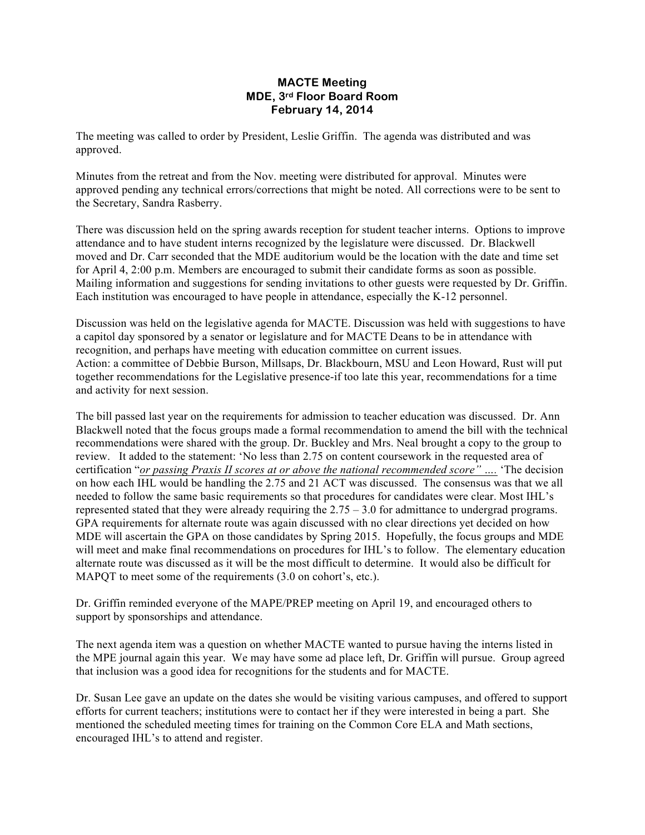## **MACTE Meeting MDE, 3rd Floor Board Room February 14, 2014**

The meeting was called to order by President, Leslie Griffin. The agenda was distributed and was approved.

Minutes from the retreat and from the Nov. meeting were distributed for approval. Minutes were approved pending any technical errors/corrections that might be noted. All corrections were to be sent to the Secretary, Sandra Rasberry.

There was discussion held on the spring awards reception for student teacher interns. Options to improve attendance and to have student interns recognized by the legislature were discussed. Dr. Blackwell moved and Dr. Carr seconded that the MDE auditorium would be the location with the date and time set for April 4, 2:00 p.m. Members are encouraged to submit their candidate forms as soon as possible. Mailing information and suggestions for sending invitations to other guests were requested by Dr. Griffin. Each institution was encouraged to have people in attendance, especially the K-12 personnel.

Discussion was held on the legislative agenda for MACTE. Discussion was held with suggestions to have a capitol day sponsored by a senator or legislature and for MACTE Deans to be in attendance with recognition, and perhaps have meeting with education committee on current issues. Action: a committee of Debbie Burson, Millsaps, Dr. Blackbourn, MSU and Leon Howard, Rust will put together recommendations for the Legislative presence-if too late this year, recommendations for a time and activity for next session.

The bill passed last year on the requirements for admission to teacher education was discussed. Dr. Ann Blackwell noted that the focus groups made a formal recommendation to amend the bill with the technical recommendations were shared with the group. Dr. Buckley and Mrs. Neal brought a copy to the group to review. It added to the statement: 'No less than 2.75 on content coursework in the requested area of certification "*or passing Praxis II scores at or above the national recommended score" ….* 'The decision on how each IHL would be handling the 2.75 and 21 ACT was discussed. The consensus was that we all needed to follow the same basic requirements so that procedures for candidates were clear. Most IHL's represented stated that they were already requiring the  $2.75 - 3.0$  for admittance to undergrad programs. GPA requirements for alternate route was again discussed with no clear directions yet decided on how MDE will ascertain the GPA on those candidates by Spring 2015. Hopefully, the focus groups and MDE will meet and make final recommendations on procedures for IHL's to follow. The elementary education alternate route was discussed as it will be the most difficult to determine. It would also be difficult for MAPQT to meet some of the requirements (3.0 on cohort's, etc.).

Dr. Griffin reminded everyone of the MAPE/PREP meeting on April 19, and encouraged others to support by sponsorships and attendance.

The next agenda item was a question on whether MACTE wanted to pursue having the interns listed in the MPE journal again this year. We may have some ad place left, Dr. Griffin will pursue. Group agreed that inclusion was a good idea for recognitions for the students and for MACTE.

Dr. Susan Lee gave an update on the dates she would be visiting various campuses, and offered to support efforts for current teachers; institutions were to contact her if they were interested in being a part. She mentioned the scheduled meeting times for training on the Common Core ELA and Math sections, encouraged IHL's to attend and register.